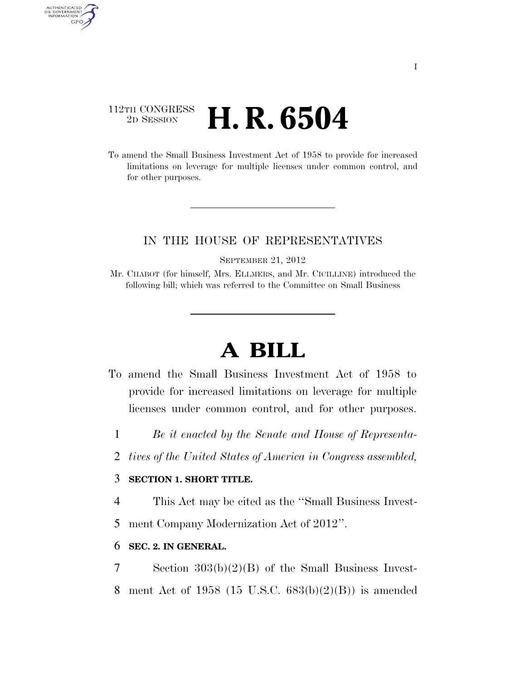## 112TH CONGRESS <sup>2D SESSION</sup> **H. R. 6504**

AUTHENTICATED<br>U.S. GOVERNMENT<br>INFORMATION GPO

> To amend the Small Business Investment Act of 1958 to provide for increased limitations on leverage for multiple licenses under common control, and for other purposes.

### IN THE HOUSE OF REPRESENTATIVES

SEPTEMBER 21, 2012

Mr. CHABOT (for himself, Mrs. ELLMERS, and Mr. CICILLINE) introduced the following bill; which was referred to the Committee on Small Business

# **A BILL**

- To amend the Small Business Investment Act of 1958 to provide for increased limitations on leverage for multiple licenses under common control, and for other purposes.
	- 1 *Be it enacted by the Senate and House of Representa-*
	- 2 *tives of the United States of America in Congress assembled,*

### 3 **SECTION 1. SHORT TITLE.**

- 4 This Act may be cited as the ''Small Business Invest-
- 5 ment Company Modernization Act of 2012''.

#### 6 **SEC. 2. IN GENERAL.**

7 Section 303(b)(2)(B) of the Small Business Invest-8 ment Act of 1958 (15 U.S.C. 683(b)(2)(B)) is amended